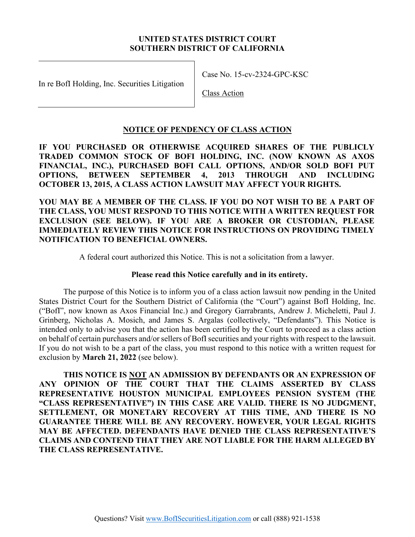### **UNITED STATES DISTRICT COURT SOUTHERN DISTRICT OF CALIFORNIA**

In re BofI Holding, Inc. Securities Litigation

Case No. 15-cv-2324-GPC-KSC

Class Action

### **NOTICE OF PENDENCY OF CLASS ACTION**

**IF YOU PURCHASED OR OTHERWISE ACQUIRED SHARES OF THE PUBLICLY TRADED COMMON STOCK OF BOFI HOLDING, INC. (NOW KNOWN AS AXOS FINANCIAL, INC.), PURCHASED BOFI CALL OPTIONS, AND/OR SOLD BOFI PUT OPTIONS, BETWEEN SEPTEMBER 4, 2013 THROUGH AND INCLUDING OCTOBER 13, 2015, A CLASS ACTION LAWSUIT MAY AFFECT YOUR RIGHTS.** 

**YOU MAY BE A MEMBER OF THE CLASS. IF YOU DO NOT WISH TO BE A PART OF THE CLASS, YOU MUST RESPOND TO THIS NOTICE WITH A WRITTEN REQUEST FOR EXCLUSION (SEE BELOW). IF YOU ARE A BROKER OR CUSTODIAN, PLEASE IMMEDIATELY REVIEW THIS NOTICE FOR INSTRUCTIONS ON PROVIDING TIMELY NOTIFICATION TO BENEFICIAL OWNERS.** 

A federal court authorized this Notice. This is not a solicitation from a lawyer.

## **Please read this Notice carefully and in its entirety.**

The purpose of this Notice is to inform you of a class action lawsuit now pending in the United States District Court for the Southern District of California (the "Court") against BofI Holding, Inc. ("BofI", now known as Axos Financial Inc.) and Gregory Garrabrants, Andrew J. Micheletti, Paul J. Grinberg, Nicholas A. Mosich, and James S. Argalas (collectively, "Defendants"). This Notice is intended only to advise you that the action has been certified by the Court to proceed as a class action on behalf of certain purchasers and/or sellers of BofI securities and your rights with respect to the lawsuit. If you do not wish to be a part of the class, you must respond to this notice with a written request for exclusion by **March 21, 2022** (see below).

**THIS NOTICE IS NOT AN ADMISSION BY DEFENDANTS OR AN EXPRESSION OF ANY OPINION OF THE COURT THAT THE CLAIMS ASSERTED BY CLASS REPRESENTATIVE HOUSTON MUNICIPAL EMPLOYEES PENSION SYSTEM (THE "CLASS REPRESENTATIVE") IN THIS CASE ARE VALID. THERE IS NO JUDGMENT, SETTLEMENT, OR MONETARY RECOVERY AT THIS TIME, AND THERE IS NO GUARANTEE THERE WILL BE ANY RECOVERY. HOWEVER, YOUR LEGAL RIGHTS MAY BE AFFECTED. DEFENDANTS HAVE DENIED THE CLASS REPRESENTATIVE'S CLAIMS AND CONTEND THAT THEY ARE NOT LIABLE FOR THE HARM ALLEGED BY THE CLASS REPRESENTATIVE.**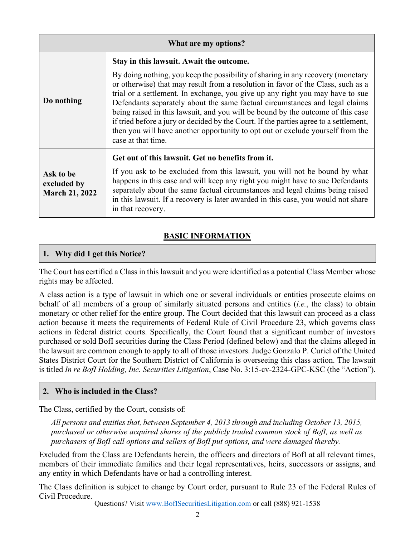| What are my options?                              |                                                                                                                                                                                                                                                                                                                                                                                                                                                                                                                                                                                                                         |
|---------------------------------------------------|-------------------------------------------------------------------------------------------------------------------------------------------------------------------------------------------------------------------------------------------------------------------------------------------------------------------------------------------------------------------------------------------------------------------------------------------------------------------------------------------------------------------------------------------------------------------------------------------------------------------------|
|                                                   | Stay in this lawsuit. Await the outcome.                                                                                                                                                                                                                                                                                                                                                                                                                                                                                                                                                                                |
| Do nothing                                        | By doing nothing, you keep the possibility of sharing in any recovery (monetary<br>or otherwise) that may result from a resolution in favor of the Class, such as a<br>trial or a settlement. In exchange, you give up any right you may have to sue<br>Defendants separately about the same factual circumstances and legal claims<br>being raised in this lawsuit, and you will be bound by the outcome of this case<br>if tried before a jury or decided by the Court. If the parties agree to a settlement,<br>then you will have another opportunity to opt out or exclude yourself from the<br>case at that time. |
| Ask to be<br>excluded by<br><b>March 21, 2022</b> | Get out of this lawsuit. Get no benefits from it.                                                                                                                                                                                                                                                                                                                                                                                                                                                                                                                                                                       |
|                                                   | If you ask to be excluded from this lawsuit, you will not be bound by what<br>happens in this case and will keep any right you might have to sue Defendants<br>separately about the same factual circumstances and legal claims being raised<br>in this lawsuit. If a recovery is later awarded in this case, you would not share<br>in that recovery.                                                                                                                                                                                                                                                                  |

# **BASIC INFORMATION**

# **1. Why did I get this Notice?**

The Court has certified a Class in this lawsuit and you were identified as a potential Class Member whose rights may be affected.

A class action is a type of lawsuit in which one or several individuals or entities prosecute claims on behalf of all members of a group of similarly situated persons and entities (*i.e.*, the class) to obtain monetary or other relief for the entire group. The Court decided that this lawsuit can proceed as a class action because it meets the requirements of Federal Rule of Civil Procedure 23, which governs class actions in federal district courts. Specifically, the Court found that a significant number of investors purchased or sold BofI securities during the Class Period (defined below) and that the claims alleged in the lawsuit are common enough to apply to all of those investors. Judge Gonzalo P. Curiel of the United States District Court for the Southern District of California is overseeing this class action. The lawsuit is titled *In re BofI Holding, Inc. Securities Litigation*, Case No. 3:15-cv-2324-GPC-KSC (the "Action").

## **2. Who is included in the Class?**

The Class, certified by the Court, consists of:

*All persons and entities that, between September 4, 2013 through and including October 13, 2015, purchased or otherwise acquired shares of the publicly traded common stock of BofI, as well as purchasers of BofI call options and sellers of BofI put options, and were damaged thereby.* 

Excluded from the Class are Defendants herein, the officers and directors of BofI at all relevant times, members of their immediate families and their legal representatives, heirs, successors or assigns, and any entity in which Defendants have or had a controlling interest.

The Class definition is subject to change by Court order, pursuant to Rule 23 of the Federal Rules of Civil Procedure.

Questions? Visit www.BofISecuritiesLitigation.com or call (888) 921-1538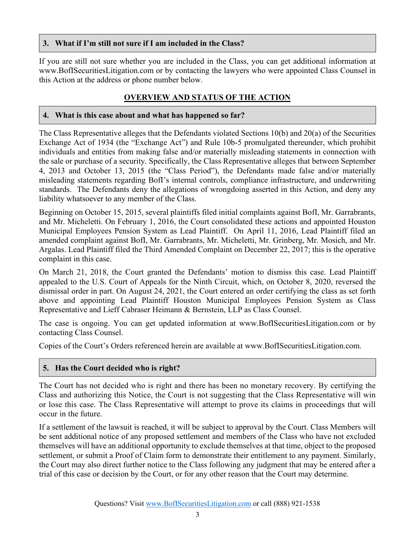## **3. What if I'm still not sure if I am included in the Class?**

If you are still not sure whether you are included in the Class, you can get additional information at www.BofISecuritiesLitigation.com or by contacting the lawyers who were appointed Class Counsel in this Action at the address or phone number below.

## **OVERVIEW AND STATUS OF THE ACTION**

### **4. What is this case about and what has happened so far?**

The Class Representative alleges that the Defendants violated Sections 10(b) and 20(a) of the Securities Exchange Act of 1934 (the "Exchange Act") and Rule 10b-5 promulgated thereunder, which prohibit individuals and entities from making false and/or materially misleading statements in connection with the sale or purchase of a security. Specifically, the Class Representative alleges that between September 4, 2013 and October 13, 2015 (the "Class Period"), the Defendants made false and/or materially misleading statements regarding BofI's internal controls, compliance infrastructure, and underwriting standards. The Defendants deny the allegations of wrongdoing asserted in this Action, and deny any liability whatsoever to any member of the Class.

Beginning on October 15, 2015, several plaintiffs filed initial complaints against BofI, Mr. Garrabrants, and Mr. Micheletti. On February 1, 2016, the Court consolidated these actions and appointed Houston Municipal Employees Pension System as Lead Plaintiff. On April 11, 2016, Lead Plaintiff filed an amended complaint against BofI, Mr. Garrabrants, Mr. Micheletti, Mr. Grinberg, Mr. Mosich, and Mr. Argalas. Lead Plaintiff filed the Third Amended Complaint on December 22, 2017; this is the operative complaint in this case.

On March 21, 2018, the Court granted the Defendants' motion to dismiss this case. Lead Plaintiff appealed to the U.S. Court of Appeals for the Ninth Circuit, which, on October 8, 2020, reversed the dismissal order in part. On August 24, 2021, the Court entered an order certifying the class as set forth above and appointing Lead Plaintiff Houston Municipal Employees Pension System as Class Representative and Lieff Cabraser Heimann & Bernstein, LLP as Class Counsel.

The case is ongoing. You can get updated information at www.BofISecuritiesLitigation.com or by contacting Class Counsel.

Copies of the Court's Orders referenced herein are available at www.BofISecuritiesLitigation.com.

## **5. Has the Court decided who is right?**

The Court has not decided who is right and there has been no monetary recovery. By certifying the Class and authorizing this Notice, the Court is not suggesting that the Class Representative will win or lose this case. The Class Representative will attempt to prove its claims in proceedings that will occur in the future.

If a settlement of the lawsuit is reached, it will be subject to approval by the Court. Class Members will be sent additional notice of any proposed settlement and members of the Class who have not excluded themselves will have an additional opportunity to exclude themselves at that time, object to the proposed settlement, or submit a Proof of Claim form to demonstrate their entitlement to any payment. Similarly, the Court may also direct further notice to the Class following any judgment that may be entered after a trial of this case or decision by the Court, or for any other reason that the Court may determine.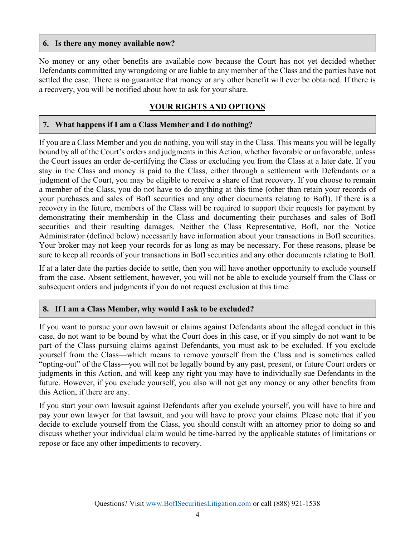#### **6. Is there any money available now?**

No money or any other benefits are available now because the Court has not yet decided whether Defendants committed any wrongdoing or are liable to any member of the Class and the parties have not settled the case. There is no guarantee that money or any other benefit will ever be obtained. If there is a recovery, you will be notified about how to ask for your share.

# **YOUR RIGHTS AND OPTIONS**

## **7. What happens if I am a Class Member and I do nothing?**

If you are a Class Member and you do nothing, you will stay in the Class. This means you will be legally bound by all of the Court's orders and judgments in this Action, whether favorable or unfavorable, unless the Court issues an order de-certifying the Class or excluding you from the Class at a later date. If you stay in the Class and money is paid to the Class, either through a settlement with Defendants or a judgment of the Court, you may be eligible to receive a share of that recovery. If you choose to remain a member of the Class, you do not have to do anything at this time (other than retain your records of your purchases and sales of BofI securities and any other documents relating to BofI). If there is a recovery in the future, members of the Class will be required to support their requests for payment by demonstrating their membership in the Class and documenting their purchases and sales of BofI securities and their resulting damages. Neither the Class Representative, BofI, nor the Notice Administrator (defined below) necessarily have information about your transactions in BofI securities. Your broker may not keep your records for as long as may be necessary. For these reasons, please be sure to keep all records of your transactions in BofI securities and any other documents relating to BofI.

If at a later date the parties decide to settle, then you will have another opportunity to exclude yourself from the case. Absent settlement, however, you will not be able to exclude yourself from the Class or subsequent orders and judgments if you do not request exclusion at this time.

## **8. If I am a Class Member, why would I ask to be excluded?**

If you want to pursue your own lawsuit or claims against Defendants about the alleged conduct in this case, do not want to be bound by what the Court does in this case, or if you simply do not want to be part of the Class pursuing claims against Defendants, you must ask to be excluded. If you exclude yourself from the Class—which means to remove yourself from the Class and is sometimes called "opting-out" of the Class—you will not be legally bound by any past, present, or future Court orders or judgments in this Action, and will keep any right you may have to individually sue Defendants in the future. However, if you exclude yourself, you also will not get any money or any other benefits from this Action, if there are any.

If you start your own lawsuit against Defendants after you exclude yourself, you will have to hire and pay your own lawyer for that lawsuit, and you will have to prove your claims. Please note that if you decide to exclude yourself from the Class, you should consult with an attorney prior to doing so and discuss whether your individual claim would be time-barred by the applicable statutes of limitations or repose or face any other impediments to recovery.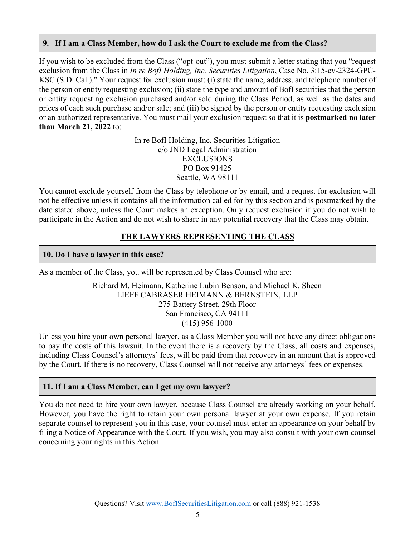### **9. If I am a Class Member, how do I ask the Court to exclude me from the Class?**

If you wish to be excluded from the Class ("opt-out"), you must submit a letter stating that you "request exclusion from the Class in *In re BofI Holding, Inc. Securities Litigation*, Case No. 3:15-cv-2324-GPC-KSC (S.D. Cal.)." Your request for exclusion must: (i) state the name, address, and telephone number of the person or entity requesting exclusion; (ii) state the type and amount of BofI securities that the person or entity requesting exclusion purchased and/or sold during the Class Period, as well as the dates and prices of each such purchase and/or sale; and (iii) be signed by the person or entity requesting exclusion or an authorized representative. You must mail your exclusion request so that it is **postmarked no later than March 21, 2022** to:

> In re BofI Holding, Inc. Securities Litigation c/o JND Legal Administration EXCLUSIONS PO Box 91425 Seattle, WA 98111

You cannot exclude yourself from the Class by telephone or by email, and a request for exclusion will not be effective unless it contains all the information called for by this section and is postmarked by the date stated above, unless the Court makes an exception. Only request exclusion if you do not wish to participate in the Action and do not wish to share in any potential recovery that the Class may obtain.

# **THE LAWYERS REPRESENTING THE CLASS**

### **10. Do I have a lawyer in this case?**

As a member of the Class, you will be represented by Class Counsel who are:

Richard M. Heimann, Katherine Lubin Benson, and Michael K. Sheen LIEFF CABRASER HEIMANN & BERNSTEIN, LLP 275 Battery Street, 29th Floor San Francisco, CA 94111 (415) 956-1000

Unless you hire your own personal lawyer, as a Class Member you will not have any direct obligations to pay the costs of this lawsuit. In the event there is a recovery by the Class, all costs and expenses, including Class Counsel's attorneys' fees, will be paid from that recovery in an amount that is approved by the Court. If there is no recovery, Class Counsel will not receive any attorneys' fees or expenses.

## **11. If I am a Class Member, can I get my own lawyer?**

You do not need to hire your own lawyer, because Class Counsel are already working on your behalf. However, you have the right to retain your own personal lawyer at your own expense. If you retain separate counsel to represent you in this case, your counsel must enter an appearance on your behalf by filing a Notice of Appearance with the Court. If you wish, you may also consult with your own counsel concerning your rights in this Action.